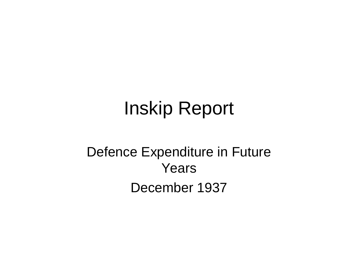# Inskip Report

### Defence Expenditure in Future Years December 1937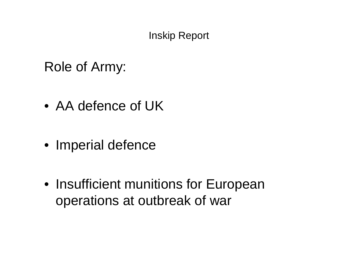#### Inskip Report

### Role of Army:

- AA defence of UK
- Imperial defence
- Insufficient munitions for European operations at outbreak of war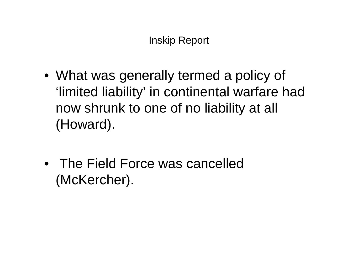- What was generally termed a policy of 'limited liability' in continental warfare had now shrunk to one of no liability at all (Howard).
- The Field Force was cancelled (McKercher).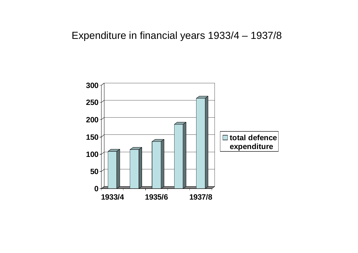#### Expenditure in financial years 1933/4 – 1937/8

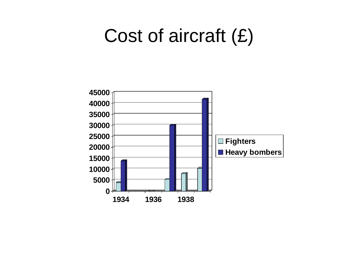### Cost of aircraft (£)

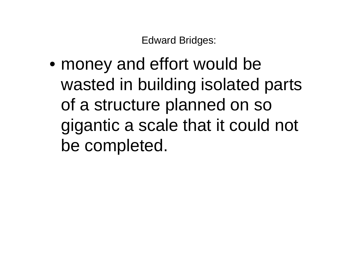Edward Bridges:

• money and effort would be wasted in building isolated parts of a structure planned on so gigantic a scale that it could not be completed.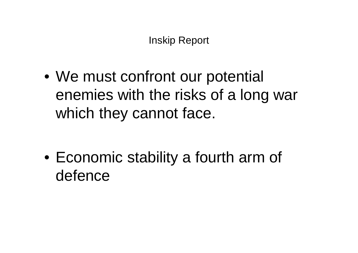• We must confront our potential enemies with the risks of a long war which they cannot face.

• Economic stability a fourth arm of defence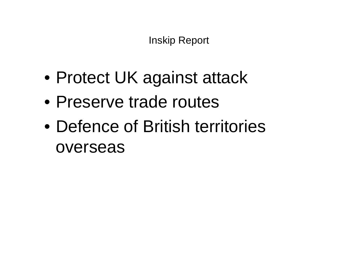Inskip Report

- Protect UK against attack
- Preserve trade routes
- Defence of British territories overseas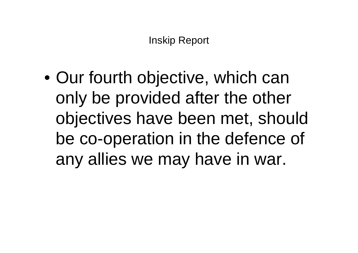• Our fourth objective, which can only be provided after the other objectives have been met, should be co-operation in the defence of any allies we may have in war.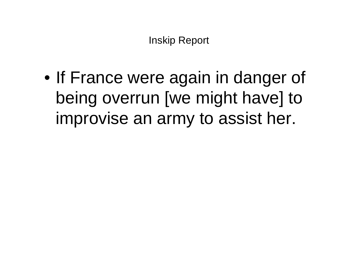• If France were again in danger of being overrun [we might have] to improvise an army to assist her.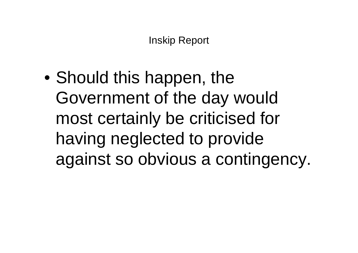• Should this happen, the Government of the day would most certainly be criticised for having neglected to provide against so obvious a contingency.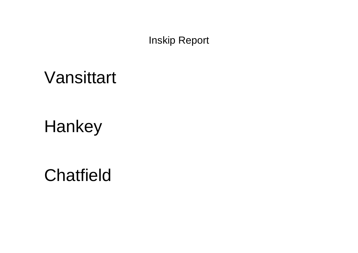Inskip Report

### Vansittart

### **Hankey**

**Chatfield**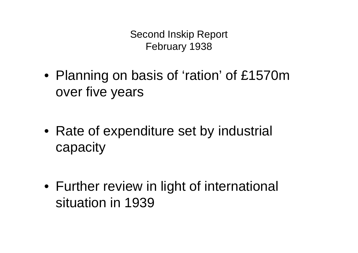Second Inskip Report February 1938

- Planning on basis of 'ration' of £1570m over five years
- Rate of expenditure set by industrial capacity
- Further review in light of international situation in 1939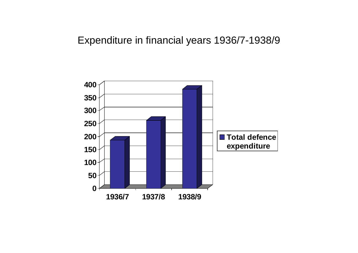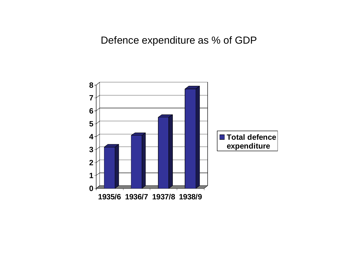#### Defence expenditure as % of GDP

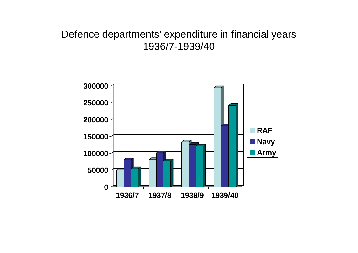#### Defence departments' expenditure in financial years 1936/7-1939/40

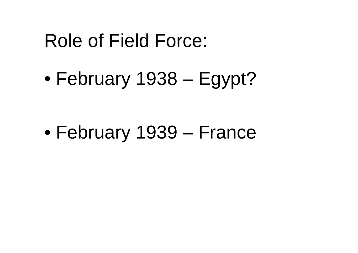## Role of Field Force:

• February 1938 – Egypt?

• February 1939 – France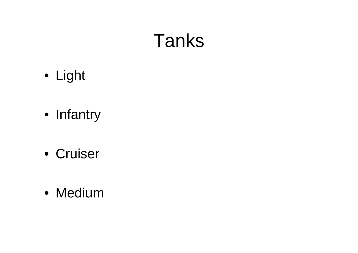# Tanks

- Light
- Infantry
- Cruiser
- Medium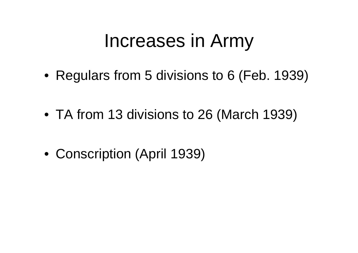## Increases in Army

- Regulars from 5 divisions to 6 (Feb. 1939)
- TA from 13 divisions to 26 (March 1939)
- Conscription (April 1939)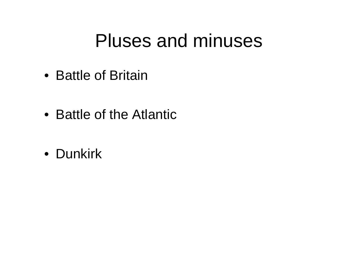## Pluses and minuses

- Battle of Britain
- Battle of the Atlantic
- Dunkirk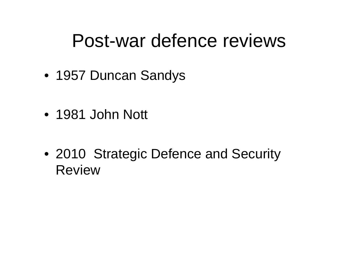## Post-war defence reviews

- 1957 Duncan Sandys
- 1981 John Nott
- 2010 Strategic Defence and Security Review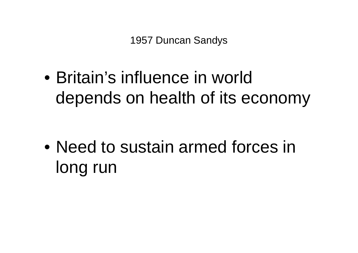• Britain's influence in world depends on health of its economy

• Need to sustain armed forces in long run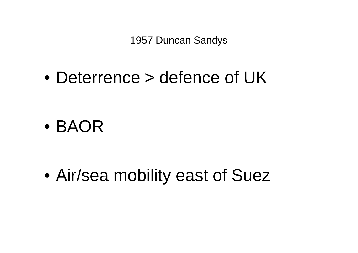1957 Duncan Sandys

• Deterrence > defence of UK

• BAOR

• Air/sea mobility east of Suez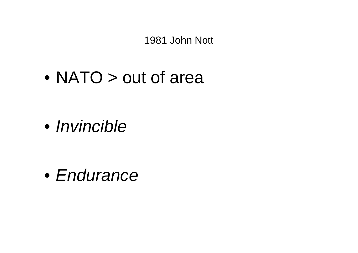1981 John Nott

• NATO > out of area

• *Invincible* 

• Endurance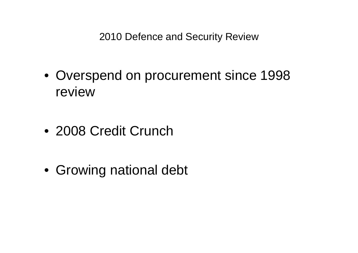2010 Defence and Security Review

- Overspend on procurement since 1998 review
- 2008 Credit Crunch
- Growing national debt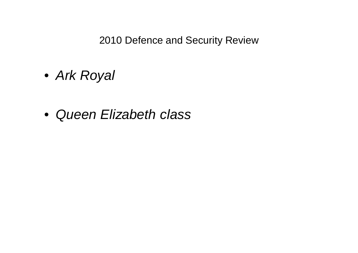2010 Defence and Security Review

- Ark Royal
- Queen Elizabeth class